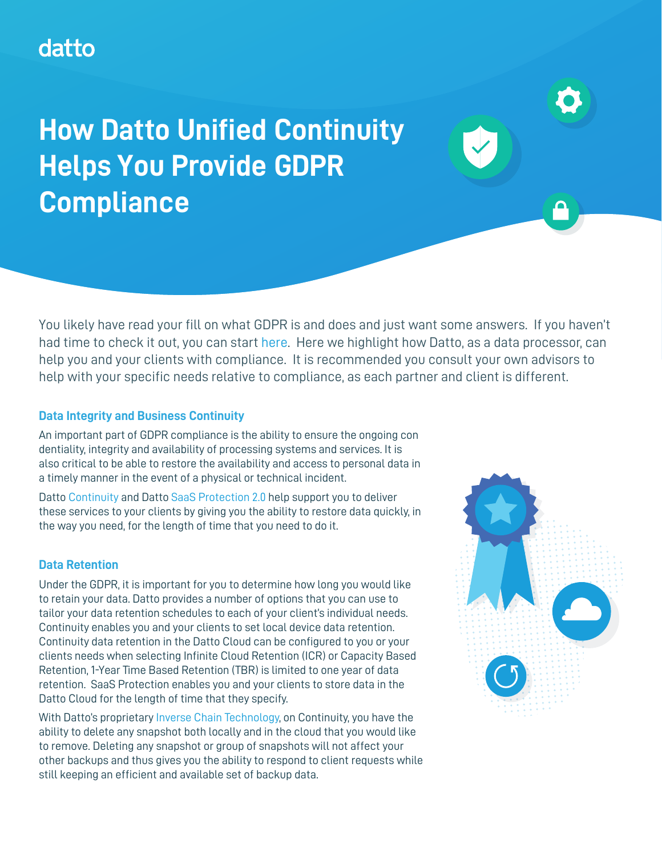## datto

# **How Datto Unified Continuity Helps You Provide GDPR Compliance**

You likely have read your fill on what GDPR is and does and just want some answers. If you haven't had time to check it out, you can start [here](https://ec.europa.eu/info/law/law-topic/data-protection/reform/rules-business-and-organisations_en). Here we highlight how Datto, as a data processor, can help you and your clients with compliance. It is recommended you consult your own advisors to help with your specific needs relative to compliance, as each partner and client is different.

#### **Data Integrity and Business Continuity**

An important part of GDPR compliance is the ability to ensure the ongoing con dentiality, integrity and availability of processing systems and services. It is also critical to be able to restore the availability and access to personal data in a timely manner in the event of a physical or technical incident.

Datto [Continuity](https://www.datto.com/continuity) and Datto [SaaS Protection 2.0](https://www.datto.com/saas-protection) help support you to deliver these services to your clients by giving you the ability to restore data quickly, in the way you need, for the length of time that you need to do it.

#### **Data Retention**

Under the GDPR, it is important for you to determine how long you would like to retain your data. Datto provides a number of options that you can use to tailor your data retention schedules to each of your client's individual needs. Continuity enables you and your clients to set local device data retention. Continuity data retention in the Datto Cloud can be configured to you or your clients needs when selecting Infinite Cloud Retention (ICR) or Capacity Based Retention, 1-Year Time Based Retention (TBR) is limited to one year of data retention. SaaS Protection enables you and your clients to store data in the Datto Cloud for the length of time that they specify.

With Datto's proprietary [Inverse Chain Technology](https://www.datto.com/technologies/inverse-chain-technology), on Continuity, you have the ability to delete any snapshot both locally and in the cloud that you would like to remove. Deleting any snapshot or group of snapshots will not affect your other backups and thus gives you the ability to respond to client requests while still keeping an efficient and available set of backup data.